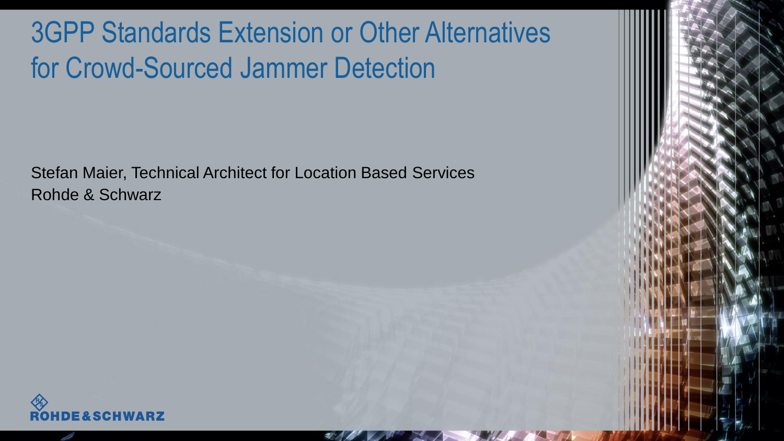## 3GPP Standards Extension or Other Alternatives for Crowd-Sourced Jammer Detection

Stefan Maier, Technical Architect for Location Based Services Rohde & Schwarz

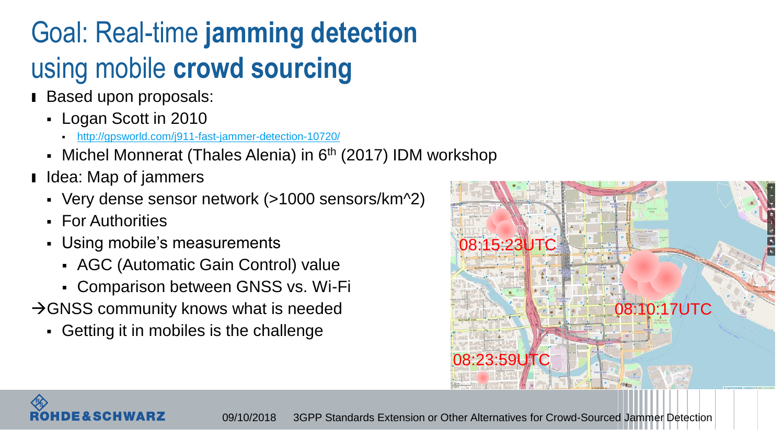# Goal: Real-time **jamming detection** using mobile **crowd sourcing**

- Based upon proposals:
	- Logan Scott in 2010
		- <http://gpsworld.com/j911-fast-jammer-detection-10720/>
	- Michel Monnerat (Thales Alenia) in 6<sup>th</sup> (2017) IDM workshop
- **I** Idea: Map of jammers
	- Very dense sensor network (>1000 sensors/km^2)
	- For Authorities
	- Using mobile's measurements
		- AGC (Automatic Gain Control) value
		- Comparison between GNSS vs. Wi-Fi
- $\rightarrow$  GNSS community knows what is needed
	- Getting it in mobiles is the challenge



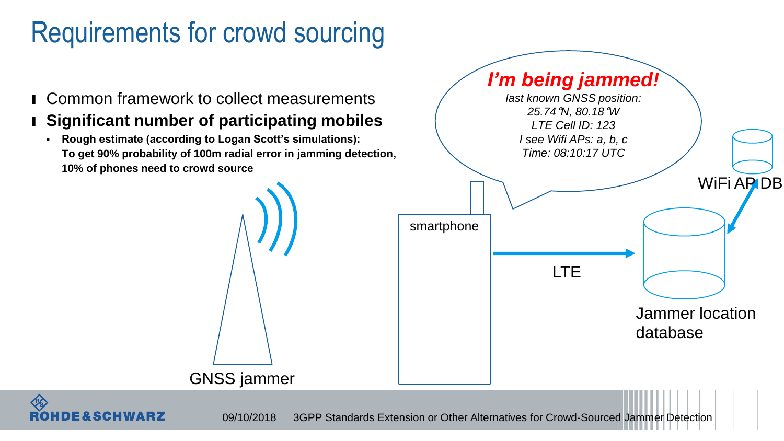## Requirements for crowd sourcing

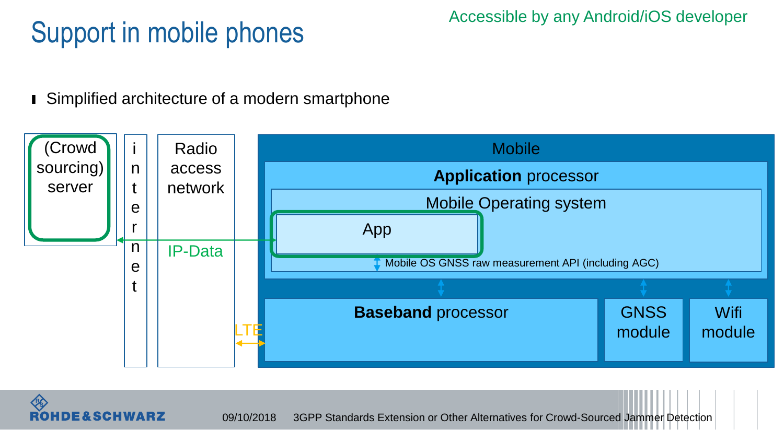## Support in mobile phones

Accessible by any Android/iOS developer

■ Simplified architecture of a modern smartphone



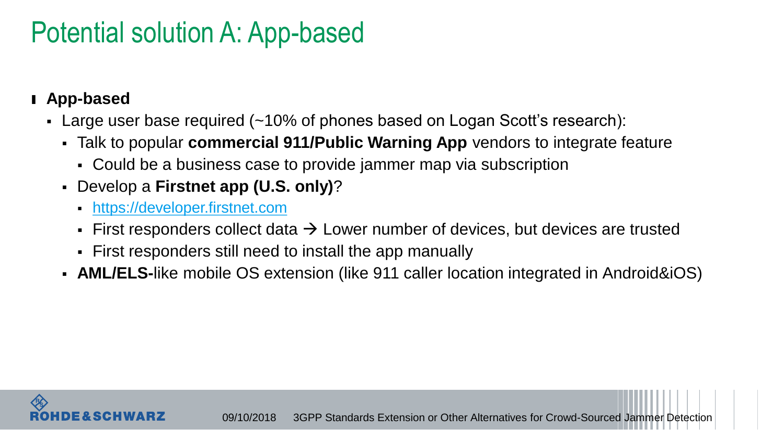### Potential solution A: App-based

#### ı **App-based**

- Large user base required (~10% of phones based on Logan Scott's research):
	- Talk to popular **commercial 911/Public Warning App** vendors to integrate feature
		- Could be a business case to provide jammer map via subscription
	- Develop a **Firstnet app (U.S. only)**?
		- [https://developer.firstnet.com](https://developer.firstnet.com/)
		- First responders collect data  $\rightarrow$  Lower number of devices, but devices are trusted
		- First responders still need to install the app manually
	- **AML/ELS-**like mobile OS extension (like 911 caller location integrated in Android&iOS)

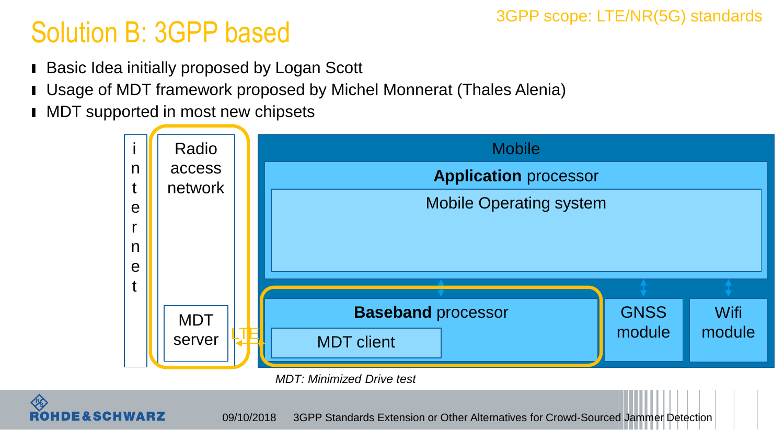#### 3GPP scope: LTE/NR(5G) standards

## Solution B: 3GPP based

- ı Basic Idea initially proposed by Logan Scott
- ı Usage of MDT framework proposed by Michel Monnerat (Thales Alenia)
- **I** MDT supported in most new chipsets

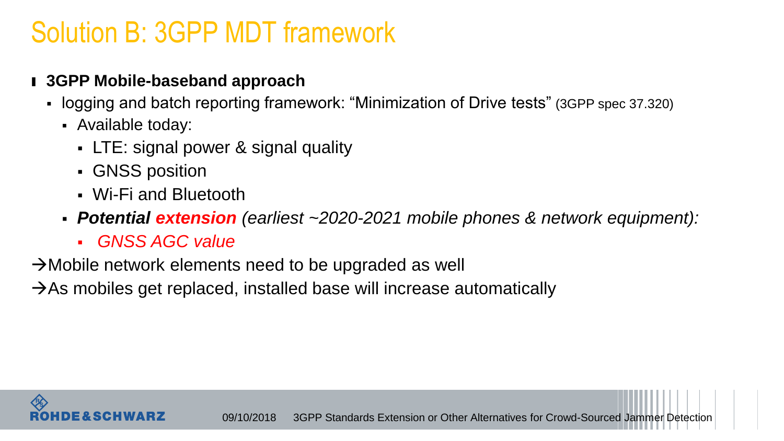#### Solution B: 3GPP MDT framework

#### ı **3GPP Mobile-baseband approach**

- logging and batch reporting framework: "Minimization of Drive tests" (3GPP spec 37.320)
	- Available today:
		- LTE: signal power & signal quality
		- GNSS position
		- Wi-Fi and Bluetooth
	- *Potential extension (earliest ~2020-2021 mobile phones & network equipment):*
		- *GNSS AGC value*

 $\rightarrow$ Mobile network elements need to be upgraded as well

 $\rightarrow$  As mobiles get replaced, installed base will increase automatically

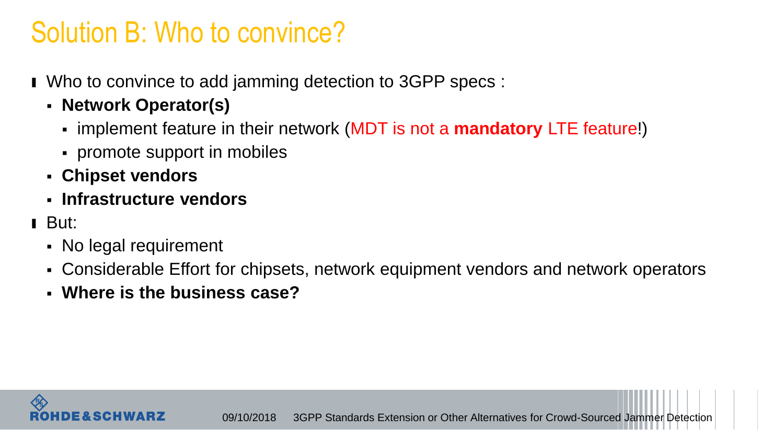#### Solution B: Who to convince?

- ı Who to convince to add jamming detection to 3GPP specs :
	- **Network Operator(s)**
		- implement feature in their network (MDT is not a **mandatory** LTE feature!)
		- promote support in mobiles
	- **Chipset vendors**
	- **Infrastructure vendors**
- ı But:
	- No legal requirement
	- Considerable Effort for chipsets, network equipment vendors and network operators
	- **Where is the business case?**

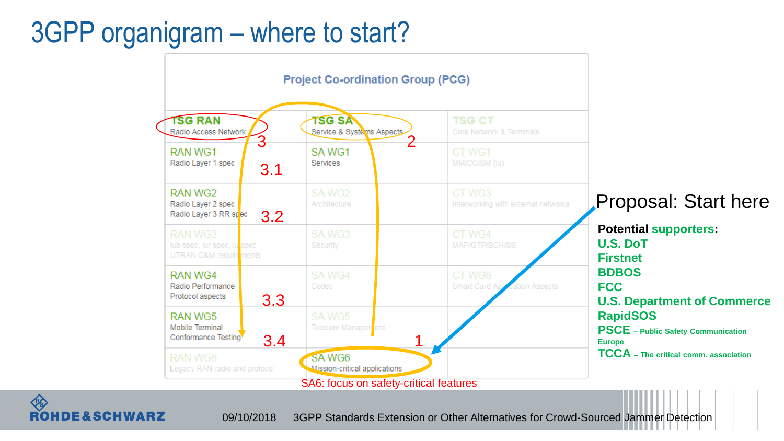### 3GPP organigram – where to start?



**RS ROHDE&SCHWARZ**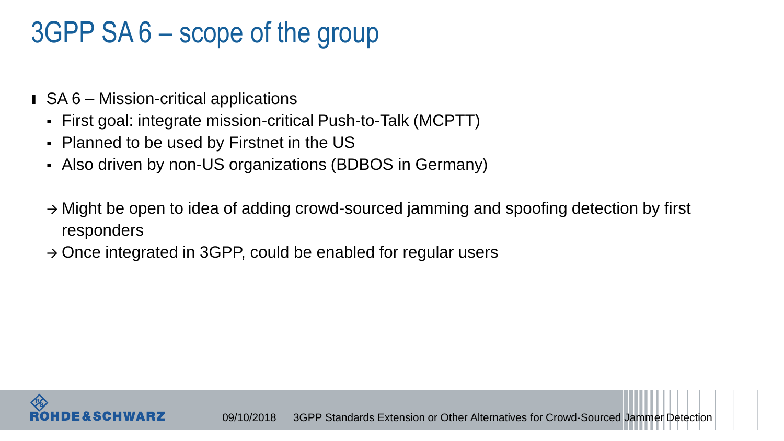## 3GPP SA 6 – scope of the group

- ı SA 6 Mission-critical applications
	- First goal: integrate mission-critical Push-to-Talk (MCPTT)
	- Planned to be used by Firstnet in the US
	- Also driven by non-US organizations (BDBOS in Germany)
	- $\rightarrow$  Might be open to idea of adding crowd-sourced jamming and spoofing detection by first responders
	- $\rightarrow$  Once integrated in 3GPP, could be enabled for regular users

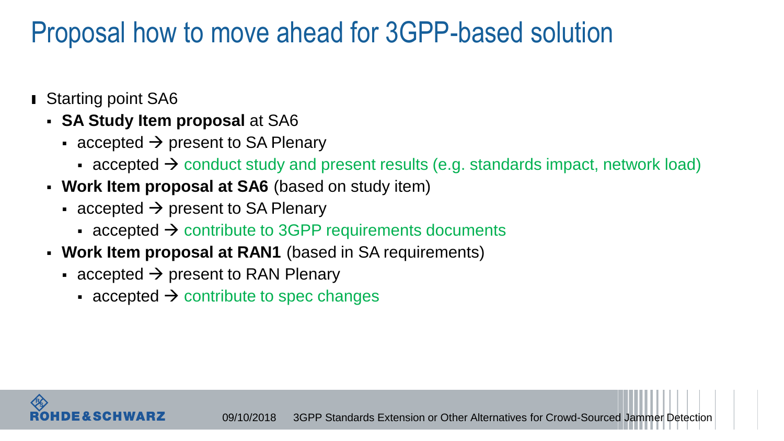### Proposal how to move ahead for 3GPP-based solution

- Starting point SA6
	- **SA Study Item proposal** at SA6
		- accepted  $\rightarrow$  present to SA Plenary
			- accepted  $\rightarrow$  conduct study and present results (e.g. standards impact, network load)
	- **Work Item proposal at SA6** (based on study item)
		- accepted  $\rightarrow$  present to SA Plenary
			- accepted  $\rightarrow$  contribute to 3GPP requirements documents
	- **Work Item proposal at RAN1** (based in SA requirements)
		- accepted  $\rightarrow$  present to RAN Plenary
			- accepted  $\rightarrow$  contribute to spec changes

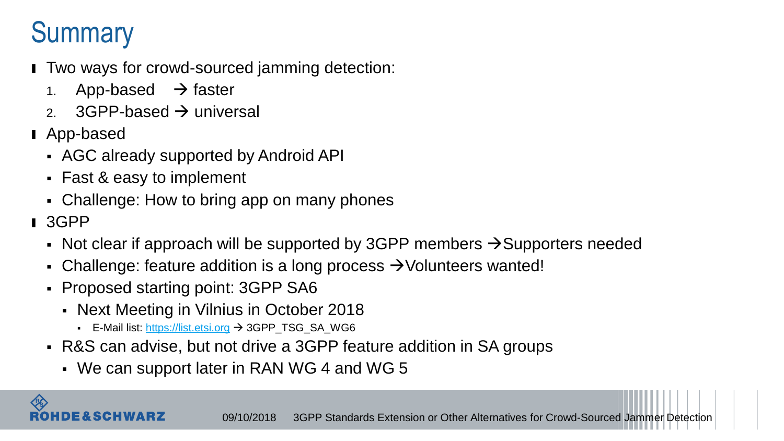## **Summary**

- ı Two ways for crowd-sourced jamming detection:
	- 1. App-based  $\rightarrow$  faster
	- 2. 3GPP-based  $\rightarrow$  universal
- ı App-based
	- AGC already supported by Android API
	- Fast & easy to implement
	- Challenge: How to bring app on many phones
- ı 3GPP
	- Not clear if approach will be supported by 3GPP members  $\rightarrow$  Supporters needed
	- Challenge: feature addition is a long process  $\rightarrow$  Volunteers wanted!
	- Proposed starting point: 3GPP SA6
		- Next Meeting in Vilnius in October 2018
			- E-Mail list: [https://list.etsi.org](https://list.etsi.org/) → 3GPP\_TSG\_SA\_WG6
	- R&S can advise, but not drive a 3GPP feature addition in SA groups
		- We can support later in RAN WG 4 and WG 5